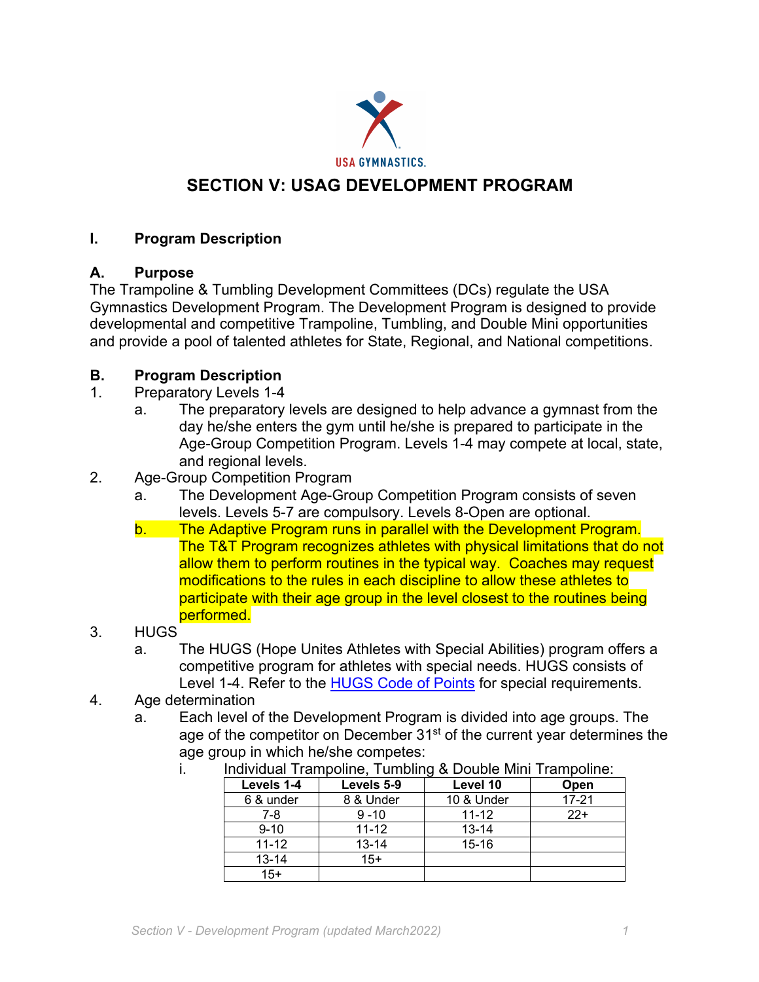

# **SECTION V: USAG DEVELOPMENT PROGRAM**

### **I. Program Description**

#### **A. Purpose**

The Trampoline & Tumbling Development Committees (DCs) regulate the USA Gymnastics Development Program. The Development Program is designed to provide developmental and competitive Trampoline, Tumbling, and Double Mini opportunities and provide a pool of talented athletes for State, Regional, and National competitions.

### **B. Program Description**

- 1. Preparatory Levels 1-4
	- a. The preparatory levels are designed to help advance a gymnast from the day he/she enters the gym until he/she is prepared to participate in the Age-Group Competition Program. Levels 1-4 may compete at local, state, and regional levels.
- 2. Age-Group Competition Program
	- a. The Development Age-Group Competition Program consists of seven levels. Levels 5-7 are compulsory. Levels 8-Open are optional.
	- b. The Adaptive Program runs in parallel with the Development Program. The T&T Program recognizes athletes with physical limitations that do not allow them to perform routines in the typical way. Coaches may request modifications to the rules in each discipline to allow these athletes to participate with their age group in the level closest to the routines being performed.
- 3. HUGS
	- a. The HUGS (Hope Unites Athletes with Special Abilities) program offers a competitive program for athletes with special needs. HUGS consists of Level 1-4. Refer to the HUGS Code of Points for special requirements.
- 4. Age determination
	- a. Each level of the Development Program is divided into age groups. The age of the competitor on December  $31<sup>st</sup>$  of the current year determines the age group in which he/she competes:

| Individual Trampoline, Tumbling & Double Mini Trampoline: |            |            |           |
|-----------------------------------------------------------|------------|------------|-----------|
| Levels 1-4                                                | Levels 5-9 | Level 10   | Open      |
| 6 & under                                                 | 8 & Under  | 10 & Under | $17 - 21$ |
| 7-8                                                       | $9 - 10$   | $11 - 12$  | $22+$     |
| $9 - 10$                                                  | $11 - 12$  | $13 - 14$  |           |
| $11 - 12$                                                 | $13 - 14$  | $15 - 16$  |           |
| $13 - 14$                                                 | $15+$      |            |           |
| $15+$                                                     |            |            |           |

i. Individual Trampoline, Tumbling & Double Mini Trampoline: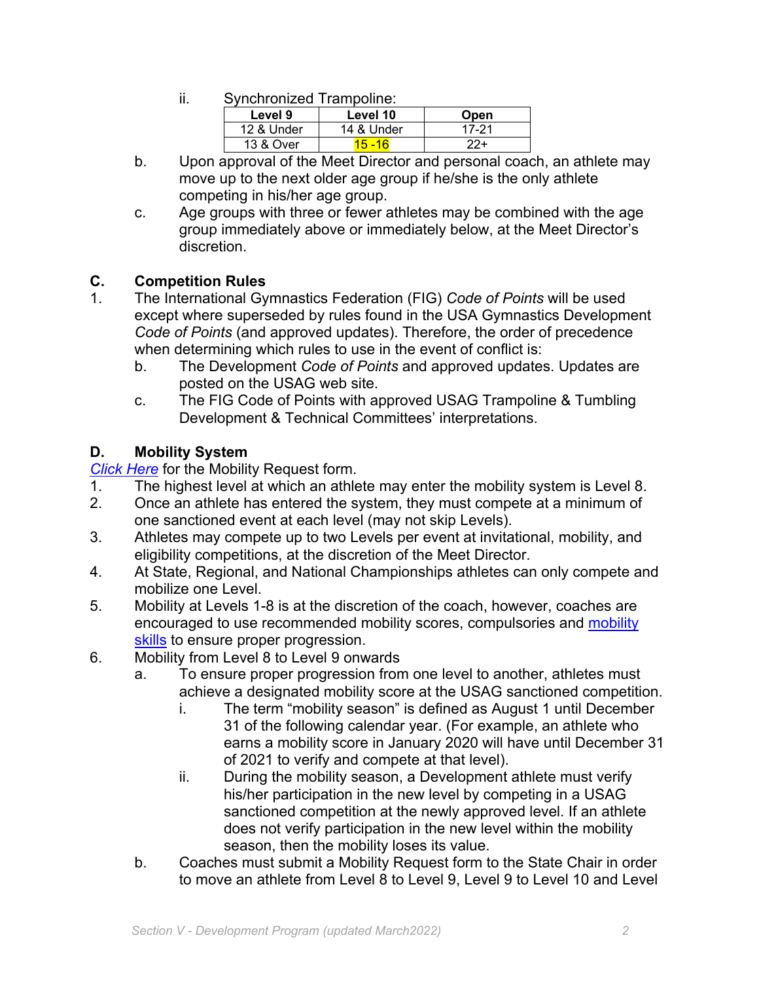ii. Synchronized Trampoline:

| Level 9    | Level 10   | <b>Open</b> |
|------------|------------|-------------|
| 12 & Under | 14 & Under | 17-21       |
| 13 & Over  | 15.16      | フフ+         |

- b. Upon approval of the Meet Director and personal coach, an athlete may move up to the next older age group if he/she is the only athlete competing in his/her age group.
- c. Age groups with three or fewer athletes may be combined with the age group immediately above or immediately below, at the Meet Director's discretion.

# **C. Competition Rules**

- 1. The International Gymnastics Federation (FIG) *Code of Points* will be used except where superseded by rules found in the USA Gymnastics Development *Code of Points* (and approved updates). Therefore, the order of precedence when determining which rules to use in the event of conflict is:
	- b. The Development *Code of Points* and approved updates. Updates are posted on the USAG web site.
	- c. The FIG Code of Points with approved USAG Trampoline & Tumbling Development & Technical Committees' interpretations.

# **D. Mobility System**

*Click Here* for the Mobility Request form.

- 1. The highest level at which an athlete may enter the mobility system is Level 8.
- 2. Once an athlete has entered the system, they must compete at a minimum of one sanctioned event at each level (may not skip Levels).
- 3. Athletes may compete up to two Levels per event at invitational, mobility, and eligibility competitions, at the discretion of the Meet Director.
- 4. At State, Regional, and National Championships athletes can only compete and mobilize one Level.
- 5. Mobility at Levels 1-8 is at the discretion of the coach, however, coaches are encouraged to use recommended mobility scores, compulsories and mobility skills to ensure proper progression.
- 6. Mobility from Level 8 to Level 9 onwards
	- a. To ensure proper progression from one level to another, athletes must achieve a designated mobility score at the USAG sanctioned competition.
		- i. The term "mobility season" is defined as August 1 until December 31 of the following calendar year. (For example, an athlete who earns a mobility score in January 2020 will have until December 31 of 2021 to verify and compete at that level).
		- ii. During the mobility season, a Development athlete must verify his/her participation in the new level by competing in a USAG sanctioned competition at the newly approved level. If an athlete does not verify participation in the new level within the mobility season, then the mobility loses its value.
	- b. Coaches must submit a Mobility Request form to the State Chair in order to move an athlete from Level 8 to Level 9, Level 9 to Level 10 and Level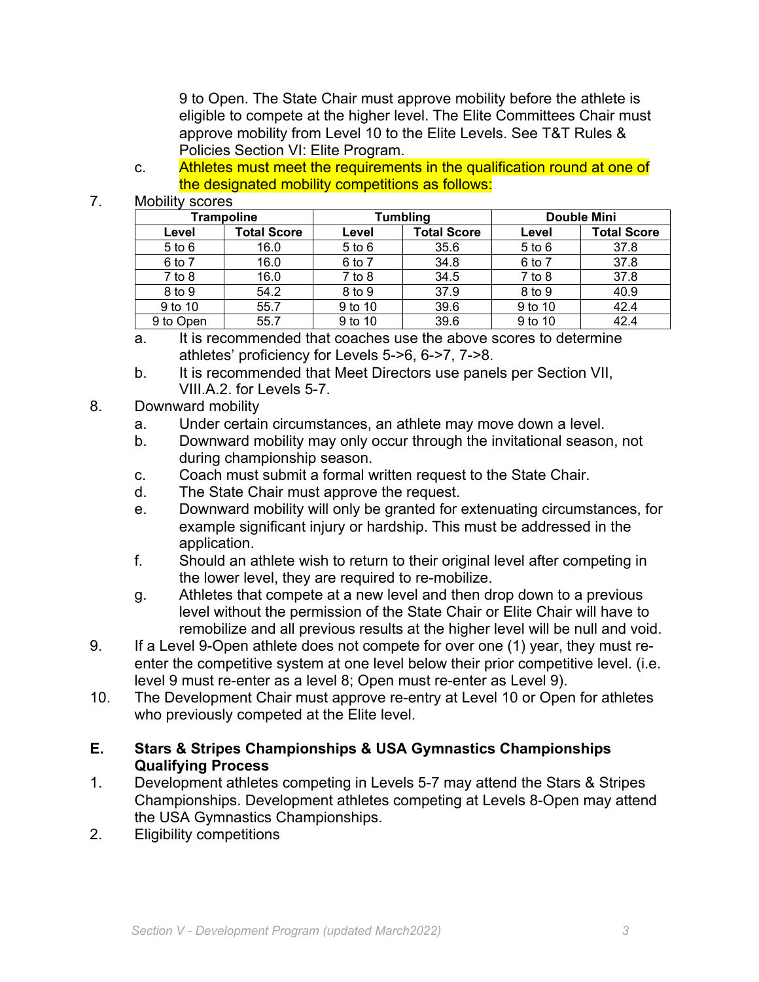9 to Open. The State Chair must approve mobility before the athlete is eligible to compete at the higher level. The Elite Committees Chair must approve mobility from Level 10 to the Elite Levels. See T&T Rules & Policies Section VI: Elite Program.

c. Athletes must meet the requirements in the qualification round at one of the designated mobility competitions as follows:

#### 7. Mobility scores

| <b>Trampoline</b> |                    | Tumbling   |                    | <b>Double Mini</b> |                    |
|-------------------|--------------------|------------|--------------------|--------------------|--------------------|
| Level             | <b>Total Score</b> | Level      | <b>Total Score</b> | Level              | <b>Total Score</b> |
| $5$ to $6$        | 16.0               | $5$ to $6$ | 35.6               | $5$ to $6$         | 37.8               |
| 6 to 7            | 16.0               | 6 to 7     | 34.8               | 6 to 7             | 37.8               |
| $7$ to $8$        | 16.0               | $7$ to $8$ | 34.5               | $7$ to $8$         | 37.8               |
| 8 to 9            | 54.2               | 8 to 9     | 37.9               | 8 to 9             | 40.9               |
| 9 to 10           | 55.7               | 9 to 10    | 39.6               | 9 to 10            | 42.4               |
| 9 to Open         | 55.7               | 9 to 10    | 39.6               | 9 to 10            | 42.4               |

- a. It is recommended that coaches use the above scores to determine athletes' proficiency for Levels 5->6, 6->7, 7->8.
- b. It is recommended that Meet Directors use panels per Section VII, VIII.A.2. for Levels 5-7.

#### 8. Downward mobility

- a. Under certain circumstances, an athlete may move down a level.
- b. Downward mobility may only occur through the invitational season, not during championship season.
- c. Coach must submit a formal written request to the State Chair.
- d. The State Chair must approve the request.
- e. Downward mobility will only be granted for extenuating circumstances, for example significant injury or hardship. This must be addressed in the application.
- f. Should an athlete wish to return to their original level after competing in the lower level, they are required to re-mobilize.
- g. Athletes that compete at a new level and then drop down to a previous level without the permission of the State Chair or Elite Chair will have to remobilize and all previous results at the higher level will be null and void.
- 9. If a Level 9-Open athlete does not compete for over one (1) year, they must reenter the competitive system at one level below their prior competitive level. (i.e. level 9 must re-enter as a level 8; Open must re-enter as Level 9).
- 10. The Development Chair must approve re-entry at Level 10 or Open for athletes who previously competed at the Elite level.

#### **E. Stars & Stripes Championships & USA Gymnastics Championships Qualifying Process**

- 1. Development athletes competing in Levels 5-7 may attend the Stars & Stripes Championships. Development athletes competing at Levels 8-Open may attend the USA Gymnastics Championships.
- 2. Eligibility competitions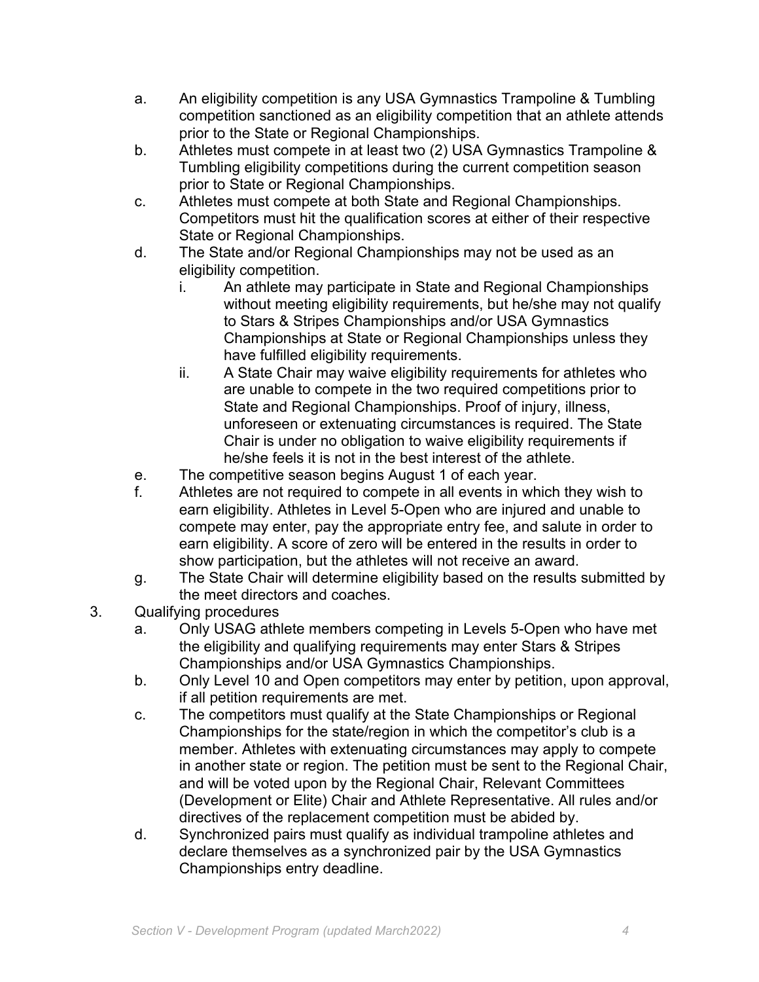- a. An eligibility competition is any USA Gymnastics Trampoline & Tumbling competition sanctioned as an eligibility competition that an athlete attends prior to the State or Regional Championships.
- b. Athletes must compete in at least two (2) USA Gymnastics Trampoline & Tumbling eligibility competitions during the current competition season prior to State or Regional Championships.
- c. Athletes must compete at both State and Regional Championships. Competitors must hit the qualification scores at either of their respective State or Regional Championships.
- d. The State and/or Regional Championships may not be used as an eligibility competition.
	- i. An athlete may participate in State and Regional Championships without meeting eligibility requirements, but he/she may not qualify to Stars & Stripes Championships and/or USA Gymnastics Championships at State or Regional Championships unless they have fulfilled eligibility requirements.
	- ii. A State Chair may waive eligibility requirements for athletes who are unable to compete in the two required competitions prior to State and Regional Championships. Proof of injury, illness, unforeseen or extenuating circumstances is required. The State Chair is under no obligation to waive eligibility requirements if he/she feels it is not in the best interest of the athlete.
- e. The competitive season begins August 1 of each year.
- f. Athletes are not required to compete in all events in which they wish to earn eligibility. Athletes in Level 5-Open who are injured and unable to compete may enter, pay the appropriate entry fee, and salute in order to earn eligibility. A score of zero will be entered in the results in order to show participation, but the athletes will not receive an award.
- g. The State Chair will determine eligibility based on the results submitted by the meet directors and coaches.
- 3. Qualifying procedures
	- a. Only USAG athlete members competing in Levels 5-Open who have met the eligibility and qualifying requirements may enter Stars & Stripes Championships and/or USA Gymnastics Championships.
	- b. Only Level 10 and Open competitors may enter by petition, upon approval, if all petition requirements are met.
	- c. The competitors must qualify at the State Championships or Regional Championships for the state/region in which the competitor's club is a member. Athletes with extenuating circumstances may apply to compete in another state or region. The petition must be sent to the Regional Chair, and will be voted upon by the Regional Chair, Relevant Committees (Development or Elite) Chair and Athlete Representative. All rules and/or directives of the replacement competition must be abided by.
	- d. Synchronized pairs must qualify as individual trampoline athletes and declare themselves as a synchronized pair by the USA Gymnastics Championships entry deadline.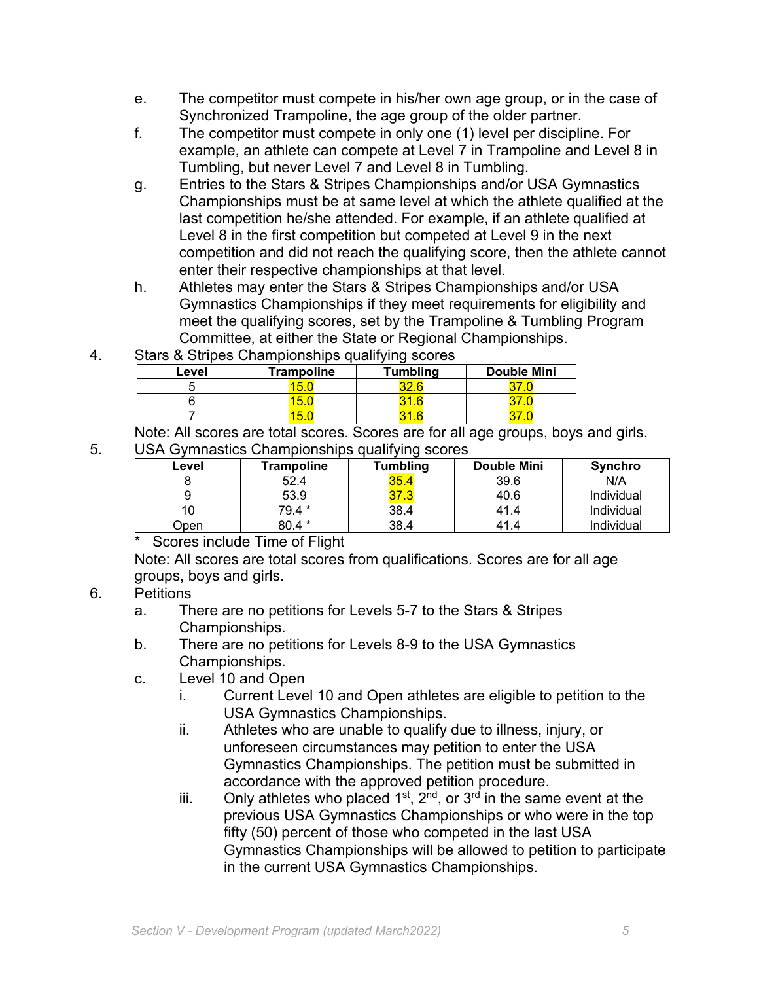- e. The competitor must compete in his/her own age group, or in the case of Synchronized Trampoline, the age group of the older partner.
- f. The competitor must compete in only one (1) level per discipline. For example, an athlete can compete at Level 7 in Trampoline and Level 8 in Tumbling, but never Level 7 and Level 8 in Tumbling.
- g. Entries to the Stars & Stripes Championships and/or USA Gymnastics Championships must be at same level at which the athlete qualified at the last competition he/she attended. For example, if an athlete qualified at Level 8 in the first competition but competed at Level 9 in the next competition and did not reach the qualifying score, then the athlete cannot enter their respective championships at that level.
- h. Athletes may enter the Stars & Stripes Championships and/or USA Gymnastics Championships if they meet requirements for eligibility and meet the qualifying scores, set by the Trampoline & Tumbling Program Committee, at either the State or Regional Championships.
- 4. Stars & Stripes Championships qualifying scores

| Level | <b>Trampoline</b> | <b>Tumbling</b> | <b>Double Mini</b> |
|-------|-------------------|-----------------|--------------------|
|       | ъ.                |                 |                    |
|       | <b>1</b>          | ĥ               |                    |
|       | -                 |                 |                    |

Note: All scores are total scores. Scores are for all age groups, boys and girls. 5. USA Gymnastics Championships qualifying scores

| Level | <b>Frampoline</b> | Tumbling | <b>Double Mini</b> | <b>Synchro</b> |
|-------|-------------------|----------|--------------------|----------------|
|       | 52.4              | 35.4     | 39.6               | N/A            |
|       | 53.9              |          | 40.6               | Individual     |
|       | 79.4 *            | 38.4     | 41.4               | Individual     |
| Dpen  | 80.4 *            | 38.4     | 41.4               | Individual     |

\* Scores include Time of Flight

Note: All scores are total scores from qualifications. Scores are for all age groups, boys and girls.

# 6. Petitions

- a. There are no petitions for Levels 5-7 to the Stars & Stripes Championships.
- b. There are no petitions for Levels 8-9 to the USA Gymnastics Championships.
- c. Level 10 and Open
	- i. Current Level 10 and Open athletes are eligible to petition to the USA Gymnastics Championships.
	- ii. Athletes who are unable to qualify due to illness, injury, or unforeseen circumstances may petition to enter the USA Gymnastics Championships. The petition must be submitted in accordance with the approved petition procedure.
	- iii. Only athletes who placed  $1^{st}$ ,  $2^{nd}$ , or  $3^{rd}$  in the same event at the previous USA Gymnastics Championships or who were in the top fifty (50) percent of those who competed in the last USA Gymnastics Championships will be allowed to petition to participate in the current USA Gymnastics Championships.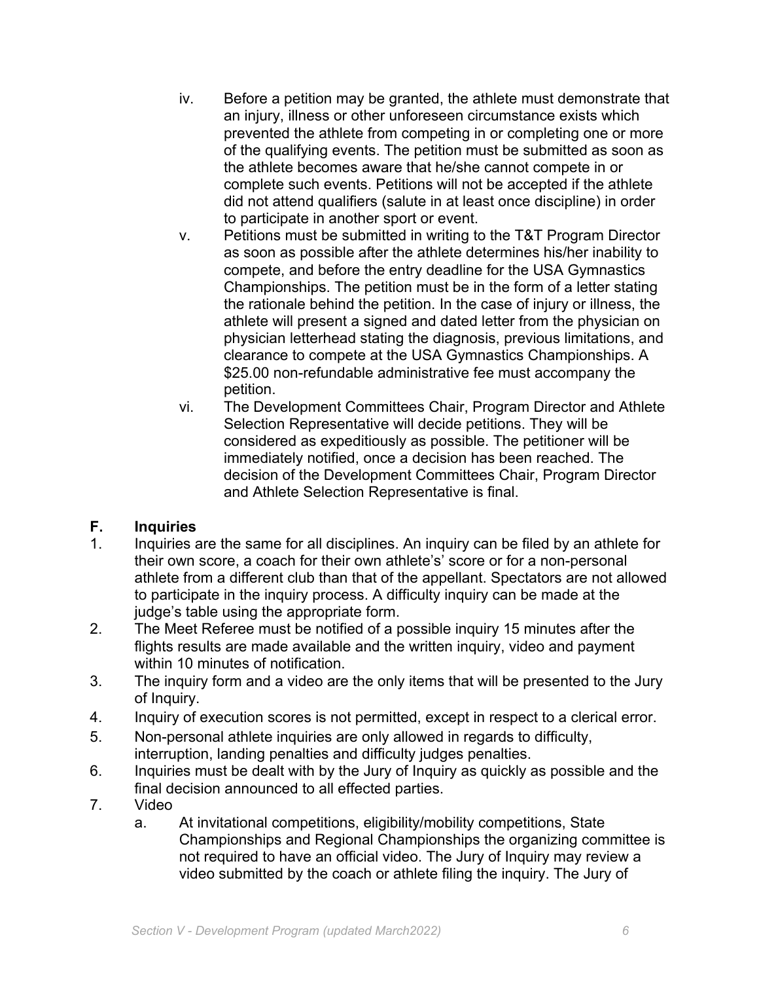- iv. Before a petition may be granted, the athlete must demonstrate that an injury, illness or other unforeseen circumstance exists which prevented the athlete from competing in or completing one or more of the qualifying events. The petition must be submitted as soon as the athlete becomes aware that he/she cannot compete in or complete such events. Petitions will not be accepted if the athlete did not attend qualifiers (salute in at least once discipline) in order to participate in another sport or event.
- v. Petitions must be submitted in writing to the T&T Program Director as soon as possible after the athlete determines his/her inability to compete, and before the entry deadline for the USA Gymnastics Championships. The petition must be in the form of a letter stating the rationale behind the petition. In the case of injury or illness, the athlete will present a signed and dated letter from the physician on physician letterhead stating the diagnosis, previous limitations, and clearance to compete at the USA Gymnastics Championships. A \$25.00 non-refundable administrative fee must accompany the petition.
- vi. The Development Committees Chair, Program Director and Athlete Selection Representative will decide petitions. They will be considered as expeditiously as possible. The petitioner will be immediately notified, once a decision has been reached. The decision of the Development Committees Chair, Program Director and Athlete Selection Representative is final.

# **F. Inquiries**

- 1. Inquiries are the same for all disciplines. An inquiry can be filed by an athlete for their own score, a coach for their own athlete's' score or for a non-personal athlete from a different club than that of the appellant. Spectators are not allowed to participate in the inquiry process. A difficulty inquiry can be made at the judge's table using the appropriate form.
- 2. The Meet Referee must be notified of a possible inquiry 15 minutes after the flights results are made available and the written inquiry, video and payment within 10 minutes of notification.
- 3. The inquiry form and a video are the only items that will be presented to the Jury of Inquiry.
- 4. Inquiry of execution scores is not permitted, except in respect to a clerical error.
- 5. Non-personal athlete inquiries are only allowed in regards to difficulty, interruption, landing penalties and difficulty judges penalties.
- 6. Inquiries must be dealt with by the Jury of Inquiry as quickly as possible and the final decision announced to all effected parties.
- 7. Video
	- a. At invitational competitions, eligibility/mobility competitions, State Championships and Regional Championships the organizing committee is not required to have an official video. The Jury of Inquiry may review a video submitted by the coach or athlete filing the inquiry. The Jury of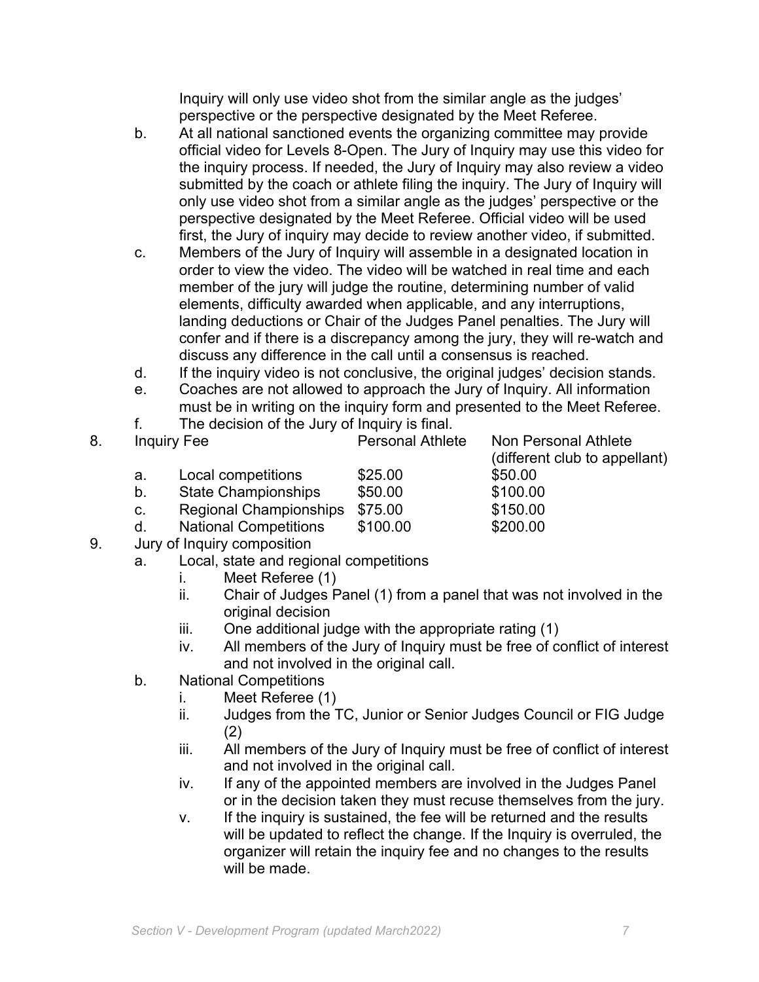Inquiry will only use video shot from the similar angle as the judges' perspective or the perspective designated by the Meet Referee.

- b. At all national sanctioned events the organizing committee may provide official video for Levels 8-Open. The Jury of Inquiry may use this video for the inquiry process. If needed, the Jury of Inquiry may also review a video submitted by the coach or athlete filing the inquiry. The Jury of Inquiry will only use video shot from a similar angle as the judges' perspective or the perspective designated by the Meet Referee. Official video will be used first, the Jury of inquiry may decide to review another video, if submitted.
- c. Members of the Jury of Inquiry will assemble in a designated location in order to view the video. The video will be watched in real time and each member of the jury will judge the routine, determining number of valid elements, difficulty awarded when applicable, and any interruptions, landing deductions or Chair of the Judges Panel penalties. The Jury will confer and if there is a discrepancy among the jury, they will re-watch and discuss any difference in the call until a consensus is reached.
- d. If the inquiry video is not conclusive, the original judges' decision stands.
- e. Coaches are not allowed to approach the Jury of Inquiry. All information must be in writing on the inquiry form and presented to the Meet Referee.
- f. The decision of the Jury of Inquiry is final.

| 8. | <b>Inquiry Fee</b> |                              | <b>Personal Athlete</b> | Non Personal Athlete<br>(different club to appellant) |  |
|----|--------------------|------------------------------|-------------------------|-------------------------------------------------------|--|
|    | а.                 | Local competitions           | \$25.00                 | \$50.00                                               |  |
|    | b.                 | <b>State Championships</b>   | \$50.00                 | \$100.00                                              |  |
|    | C.                 | Regional Championships       | \$75.00                 | \$150.00                                              |  |
|    | d.                 | <b>National Competitions</b> | \$100.00                | \$200.00                                              |  |
|    |                    |                              |                         |                                                       |  |

- 9. Jury of Inquiry composition
	- a. Local, state and regional competitions
		- i. Meet Referee (1)
		- ii. Chair of Judges Panel (1) from a panel that was not involved in the original decision
		- iii. One additional judge with the appropriate rating (1)
		- iv. All members of the Jury of Inquiry must be free of conflict of interest and not involved in the original call.
	- b. National Competitions
		- i. Meet Referee (1)
		- ii. Judges from the TC, Junior or Senior Judges Council or FIG Judge (2)
		- iii. All members of the Jury of Inquiry must be free of conflict of interest and not involved in the original call.
		- iv. If any of the appointed members are involved in the Judges Panel or in the decision taken they must recuse themselves from the jury.
		- v. If the inquiry is sustained, the fee will be returned and the results will be updated to reflect the change. If the Inquiry is overruled, the organizer will retain the inquiry fee and no changes to the results will be made.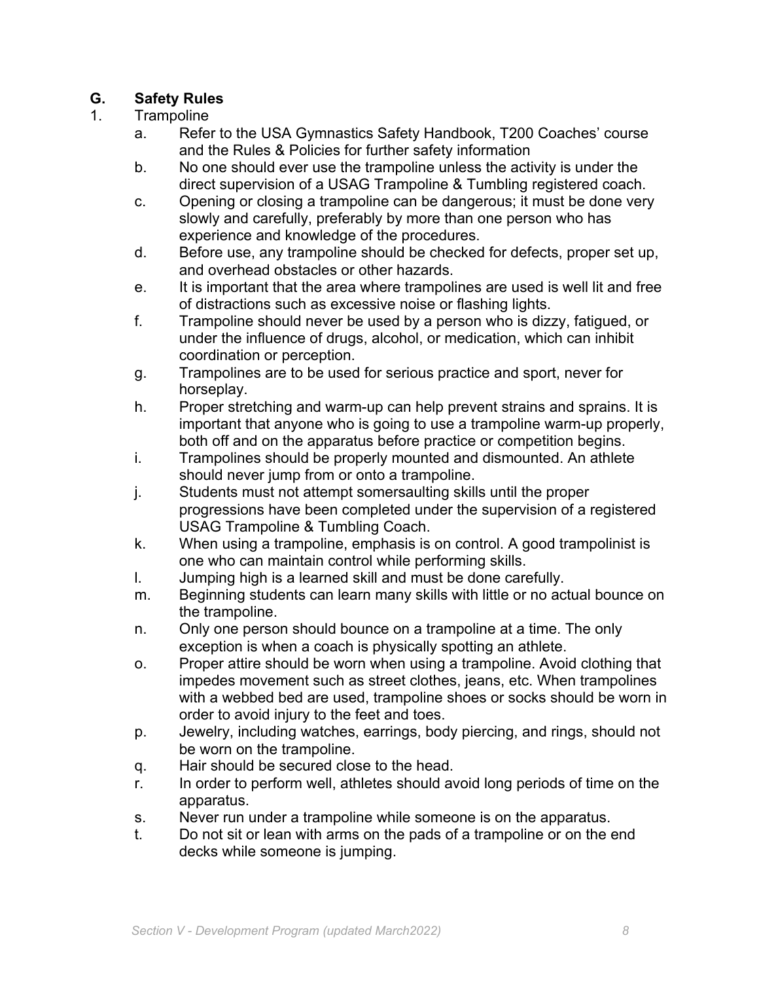### **G. Safety Rules**

#### 1. Trampoline

- a. Refer to the USA Gymnastics Safety Handbook, T200 Coaches' course and the Rules & Policies for further safety information
- b. No one should ever use the trampoline unless the activity is under the direct supervision of a USAG Trampoline & Tumbling registered coach.
- c. Opening or closing a trampoline can be dangerous; it must be done very slowly and carefully, preferably by more than one person who has experience and knowledge of the procedures.
- d. Before use, any trampoline should be checked for defects, proper set up, and overhead obstacles or other hazards.
- e. It is important that the area where trampolines are used is well lit and free of distractions such as excessive noise or flashing lights.
- f. Trampoline should never be used by a person who is dizzy, fatigued, or under the influence of drugs, alcohol, or medication, which can inhibit coordination or perception.
- g. Trampolines are to be used for serious practice and sport, never for horseplay.
- h. Proper stretching and warm-up can help prevent strains and sprains. It is important that anyone who is going to use a trampoline warm-up properly, both off and on the apparatus before practice or competition begins.
- i. Trampolines should be properly mounted and dismounted. An athlete should never jump from or onto a trampoline.
- j. Students must not attempt somersaulting skills until the proper progressions have been completed under the supervision of a registered USAG Trampoline & Tumbling Coach.
- k. When using a trampoline, emphasis is on control. A good trampolinist is one who can maintain control while performing skills.
- l. Jumping high is a learned skill and must be done carefully.
- m. Beginning students can learn many skills with little or no actual bounce on the trampoline.
- n. Only one person should bounce on a trampoline at a time. The only exception is when a coach is physically spotting an athlete.
- o. Proper attire should be worn when using a trampoline. Avoid clothing that impedes movement such as street clothes, jeans, etc. When trampolines with a webbed bed are used, trampoline shoes or socks should be worn in order to avoid injury to the feet and toes.
- p. Jewelry, including watches, earrings, body piercing, and rings, should not be worn on the trampoline.
- q. Hair should be secured close to the head.
- r. In order to perform well, athletes should avoid long periods of time on the apparatus.
- s. Never run under a trampoline while someone is on the apparatus.
- t. Do not sit or lean with arms on the pads of a trampoline or on the end decks while someone is jumping.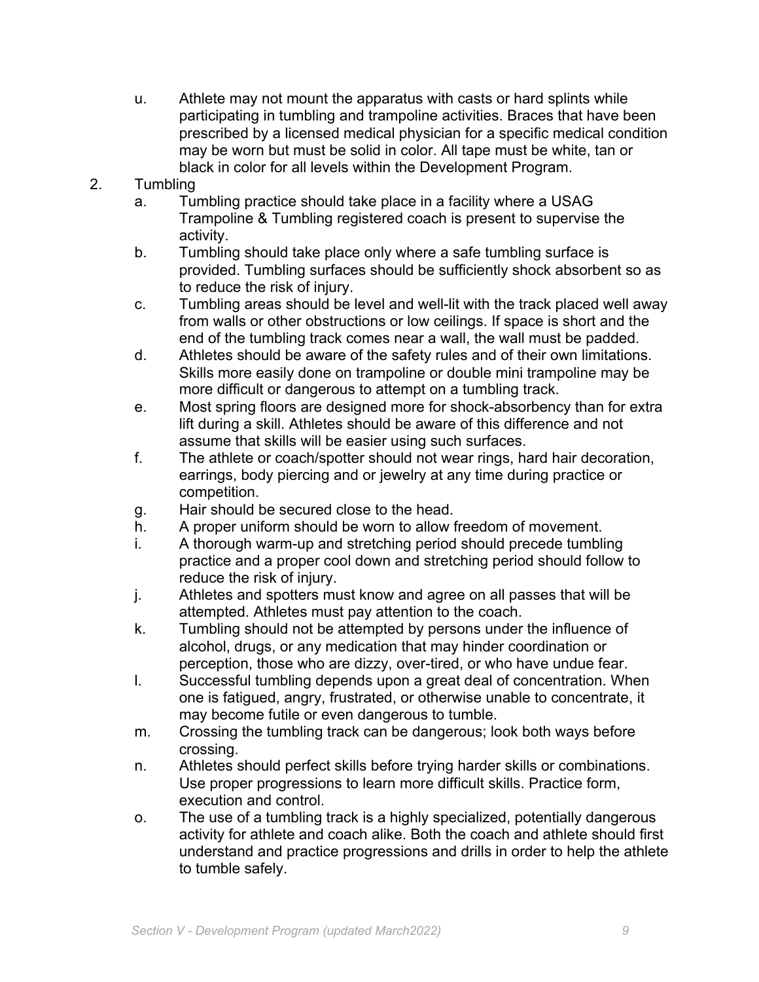- u. Athlete may not mount the apparatus with casts or hard splints while participating in tumbling and trampoline activities. Braces that have been prescribed by a licensed medical physician for a specific medical condition may be worn but must be solid in color. All tape must be white, tan or black in color for all levels within the Development Program.
- 2. Tumbling
	- a. Tumbling practice should take place in a facility where a USAG Trampoline & Tumbling registered coach is present to supervise the activity.
	- b. Tumbling should take place only where a safe tumbling surface is provided. Tumbling surfaces should be sufficiently shock absorbent so as to reduce the risk of injury.
	- c. Tumbling areas should be level and well-lit with the track placed well away from walls or other obstructions or low ceilings. If space is short and the end of the tumbling track comes near a wall, the wall must be padded.
	- d. Athletes should be aware of the safety rules and of their own limitations. Skills more easily done on trampoline or double mini trampoline may be more difficult or dangerous to attempt on a tumbling track.
	- e. Most spring floors are designed more for shock-absorbency than for extra lift during a skill. Athletes should be aware of this difference and not assume that skills will be easier using such surfaces.
	- f. The athlete or coach/spotter should not wear rings, hard hair decoration, earrings, body piercing and or jewelry at any time during practice or competition.
	- g. Hair should be secured close to the head.
	- h. A proper uniform should be worn to allow freedom of movement.
	- i. A thorough warm-up and stretching period should precede tumbling practice and a proper cool down and stretching period should follow to reduce the risk of injury.
	- j. Athletes and spotters must know and agree on all passes that will be attempted. Athletes must pay attention to the coach.
	- k. Tumbling should not be attempted by persons under the influence of alcohol, drugs, or any medication that may hinder coordination or perception, those who are dizzy, over-tired, or who have undue fear.
	- l. Successful tumbling depends upon a great deal of concentration. When one is fatigued, angry, frustrated, or otherwise unable to concentrate, it may become futile or even dangerous to tumble.
	- m. Crossing the tumbling track can be dangerous; look both ways before crossing.
	- n. Athletes should perfect skills before trying harder skills or combinations. Use proper progressions to learn more difficult skills. Practice form, execution and control.
	- o. The use of a tumbling track is a highly specialized, potentially dangerous activity for athlete and coach alike. Both the coach and athlete should first understand and practice progressions and drills in order to help the athlete to tumble safely.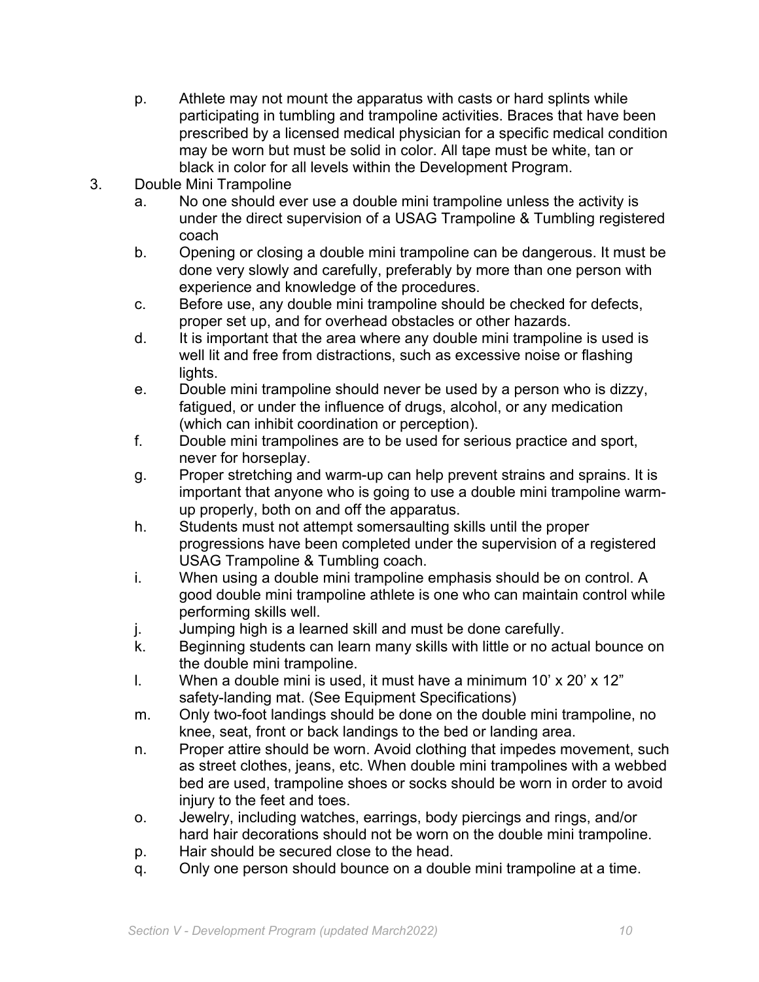- p. Athlete may not mount the apparatus with casts or hard splints while participating in tumbling and trampoline activities. Braces that have been prescribed by a licensed medical physician for a specific medical condition may be worn but must be solid in color. All tape must be white, tan or black in color for all levels within the Development Program.
- 3. Double Mini Trampoline
	- a. No one should ever use a double mini trampoline unless the activity is under the direct supervision of a USAG Trampoline & Tumbling registered coach
	- b. Opening or closing a double mini trampoline can be dangerous. It must be done very slowly and carefully, preferably by more than one person with experience and knowledge of the procedures.
	- c. Before use, any double mini trampoline should be checked for defects, proper set up, and for overhead obstacles or other hazards.
	- d. It is important that the area where any double mini trampoline is used is well lit and free from distractions, such as excessive noise or flashing lights.
	- e. Double mini trampoline should never be used by a person who is dizzy, fatigued, or under the influence of drugs, alcohol, or any medication (which can inhibit coordination or perception).
	- f. Double mini trampolines are to be used for serious practice and sport, never for horseplay.
	- g. Proper stretching and warm-up can help prevent strains and sprains. It is important that anyone who is going to use a double mini trampoline warmup properly, both on and off the apparatus.
	- h. Students must not attempt somersaulting skills until the proper progressions have been completed under the supervision of a registered USAG Trampoline & Tumbling coach.
	- i. When using a double mini trampoline emphasis should be on control. A good double mini trampoline athlete is one who can maintain control while performing skills well.
	- j. Jumping high is a learned skill and must be done carefully.
	- k. Beginning students can learn many skills with little or no actual bounce on the double mini trampoline.
	- I. When a double mini is used, it must have a minimum  $10' \times 20' \times 12''$ safety-landing mat. (See Equipment Specifications)
	- m. Only two-foot landings should be done on the double mini trampoline, no knee, seat, front or back landings to the bed or landing area.
	- n. Proper attire should be worn. Avoid clothing that impedes movement, such as street clothes, jeans, etc. When double mini trampolines with a webbed bed are used, trampoline shoes or socks should be worn in order to avoid injury to the feet and toes.
	- o. Jewelry, including watches, earrings, body piercings and rings, and/or hard hair decorations should not be worn on the double mini trampoline.
	- p. Hair should be secured close to the head.
	- q. Only one person should bounce on a double mini trampoline at a time.